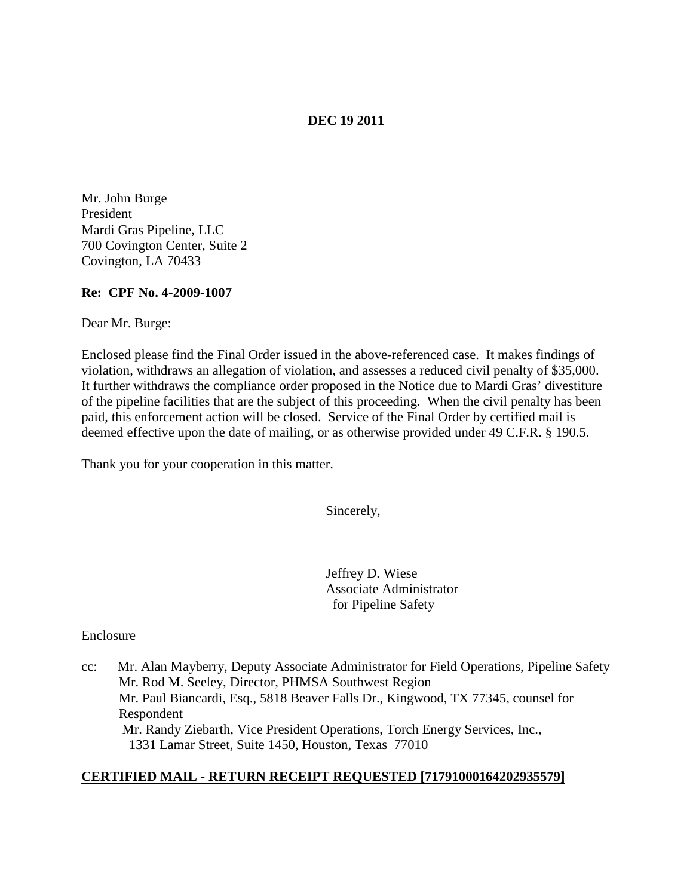# **DEC 19 2011**

Mr. John Burge President Mardi Gras Pipeline, LLC 700 Covington Center, Suite 2 Covington, LA 70433

## **Re: CPF No. 4-2009-1007**

Dear Mr. Burge:

Enclosed please find the Final Order issued in the above-referenced case. It makes findings of violation, withdraws an allegation of violation, and assesses a reduced civil penalty of \$35,000. It further withdraws the compliance order proposed in the Notice due to Mardi Gras' divestiture of the pipeline facilities that are the subject of this proceeding. When the civil penalty has been paid, this enforcement action will be closed. Service of the Final Order by certified mail is deemed effective upon the date of mailing, or as otherwise provided under 49 C.F.R. § 190.5.

Thank you for your cooperation in this matter.

Sincerely,

Jeffrey D. Wiese Associate Administrator for Pipeline Safety

Enclosure

cc: Mr. Alan Mayberry, Deputy Associate Administrator for Field Operations, Pipeline Safety Mr. Rod M. Seeley, Director, PHMSA Southwest Region Mr. Paul Biancardi, Esq., 5818 Beaver Falls Dr., Kingwood, TX 77345, counsel for Respondent Mr. Randy Ziebarth, Vice President Operations, Torch Energy Services, Inc., 1331 Lamar Street, Suite 1450, Houston, Texas 77010

# **CERTIFIED MAIL - RETURN RECEIPT REQUESTED [71791000164202935579]**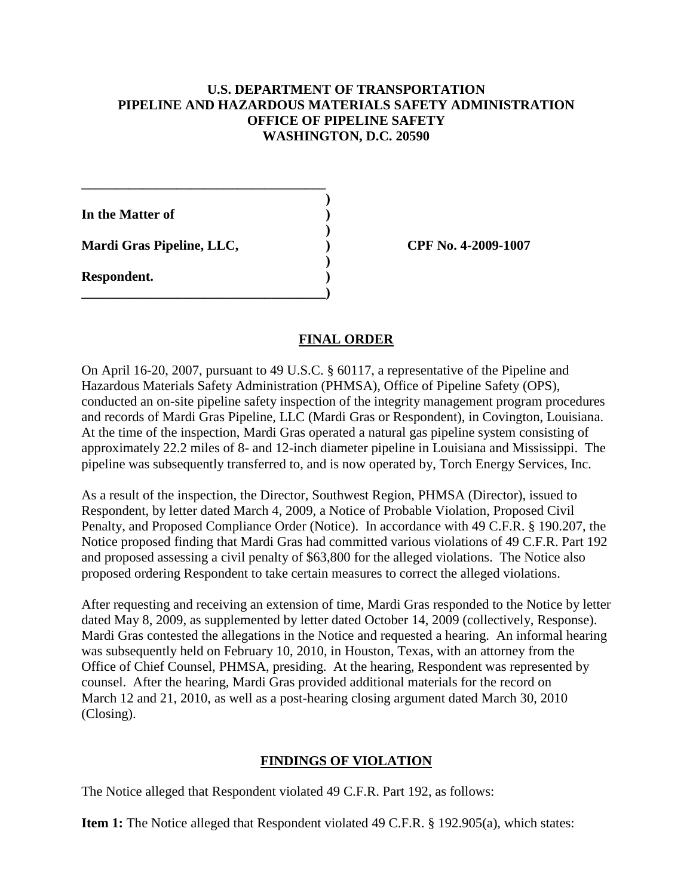## **U.S. DEPARTMENT OF TRANSPORTATION PIPELINE AND HAZARDOUS MATERIALS SAFETY ADMINISTRATION OFFICE OF PIPELINE SAFETY WASHINGTON, D.C. 20590**

**)**

**)**

**)**

**In the Matter of )**

**Mardi Gras Pipeline, LLC, ) CPF No. 4-2009-1007**

**\_\_\_\_\_\_\_\_\_\_\_\_\_\_\_\_\_\_\_\_\_\_\_\_\_\_\_\_\_\_\_\_\_\_\_\_**

**\_\_\_\_\_\_\_\_\_\_\_\_\_\_\_\_\_\_\_\_\_\_\_\_\_\_\_\_\_\_\_\_\_\_\_\_)**

**Respondent. )**

# **FINAL ORDER**

On April 16-20, 2007, pursuant to 49 U.S.C. § 60117, a representative of the Pipeline and Hazardous Materials Safety Administration (PHMSA), Office of Pipeline Safety (OPS), conducted an on-site pipeline safety inspection of the integrity management program procedures and records of Mardi Gras Pipeline, LLC (Mardi Gras or Respondent), in Covington, Louisiana. At the time of the inspection, Mardi Gras operated a natural gas pipeline system consisting of approximately 22.2 miles of 8- and 12-inch diameter pipeline in Louisiana and Mississippi. The pipeline was subsequently transferred to, and is now operated by, Torch Energy Services, Inc.

As a result of the inspection, the Director, Southwest Region, PHMSA (Director), issued to Respondent, by letter dated March 4, 2009, a Notice of Probable Violation, Proposed Civil Penalty, and Proposed Compliance Order (Notice). In accordance with 49 C.F.R. § 190.207, the Notice proposed finding that Mardi Gras had committed various violations of 49 C.F.R. Part 192 and proposed assessing a civil penalty of \$63,800 for the alleged violations. The Notice also proposed ordering Respondent to take certain measures to correct the alleged violations.

After requesting and receiving an extension of time, Mardi Gras responded to the Notice by letter dated May 8, 2009, as supplemented by letter dated October 14, 2009 (collectively, Response). Mardi Gras contested the allegations in the Notice and requested a hearing. An informal hearing was subsequently held on February 10, 2010, in Houston, Texas, with an attorney from the Office of Chief Counsel, PHMSA, presiding. At the hearing, Respondent was represented by counsel. After the hearing, Mardi Gras provided additional materials for the record on March 12 and 21, 2010, as well as a post-hearing closing argument dated March 30, 2010 (Closing).

# **FINDINGS OF VIOLATION**

The Notice alleged that Respondent violated 49 C.F.R. Part 192, as follows:

**Item 1:** The Notice alleged that Respondent violated 49 C.F.R. § 192.905(a), which states: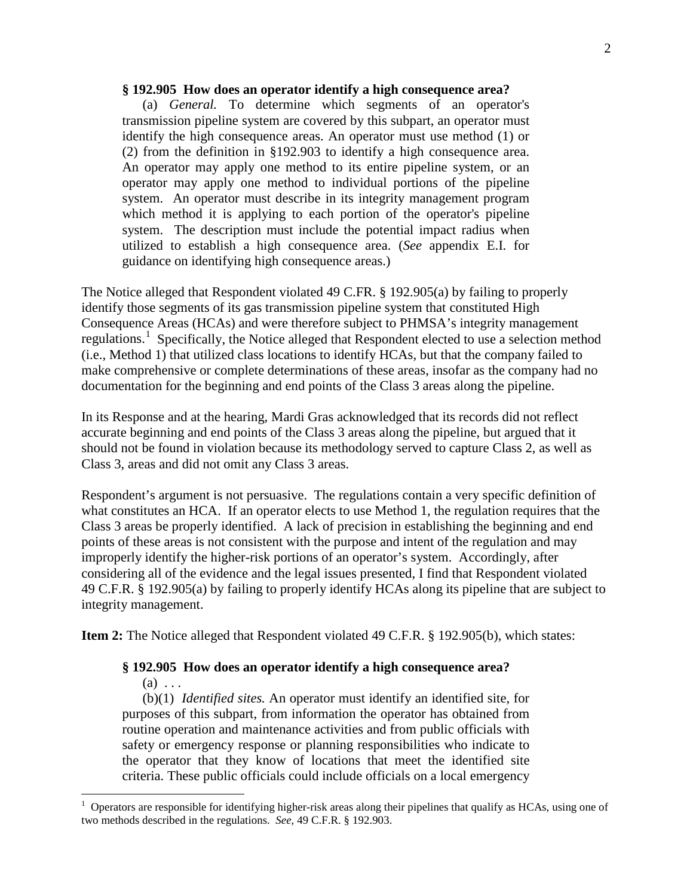#### **§ 192.905 How does an operator identify a high consequence area?**

(a) *General.* To determine which segments of an operator's transmission pipeline system are covered by this subpart, an operator must identify the high consequence areas. An operator must use method (1) or (2) from the definition in §192.903 to identify a high consequence area. An operator may apply one method to its entire pipeline system, or an operator may apply one method to individual portions of the pipeline system. An operator must describe in its integrity management program which method it is applying to each portion of the operator's pipeline system. The description must include the potential impact radius when utilized to establish a high consequence area. (*See* appendix E.I. for guidance on identifying high consequence areas.)

The Notice alleged that Respondent violated 49 C.FR. § 192.905(a) by failing to properly identify those segments of its gas transmission pipeline system that constituted High Consequence Areas (HCAs) and were therefore subject to PHMSA's integrity management regulations.<sup>[1](#page-2-0)</sup> Specifically, the Notice alleged that Respondent elected to use a selection method (i.e., Method 1) that utilized class locations to identify HCAs, but that the company failed to make comprehensive or complete determinations of these areas, insofar as the company had no documentation for the beginning and end points of the Class 3 areas along the pipeline.

In its Response and at the hearing, Mardi Gras acknowledged that its records did not reflect accurate beginning and end points of the Class 3 areas along the pipeline, but argued that it should not be found in violation because its methodology served to capture Class 2, as well as Class 3, areas and did not omit any Class 3 areas.

Respondent's argument is not persuasive. The regulations contain a very specific definition of what constitutes an HCA. If an operator elects to use Method 1, the regulation requires that the Class 3 areas be properly identified. A lack of precision in establishing the beginning and end points of these areas is not consistent with the purpose and intent of the regulation and may improperly identify the higher-risk portions of an operator's system. Accordingly, after considering all of the evidence and the legal issues presented, I find that Respondent violated 49 C.F.R. § 192.905(a) by failing to properly identify HCAs along its pipeline that are subject to integrity management.

**Item 2:** The Notice alleged that Respondent violated 49 C.F.R. § 192.905(b), which states:

#### **§ 192.905 How does an operator identify a high consequence area?**

 $(a) \ldots$ 

(b)(1) *Identified sites.* An operator must identify an identified site, for purposes of this subpart, from information the operator has obtained from routine operation and maintenance activities and from public officials with safety or emergency response or planning responsibilities who indicate to the operator that they know of locations that meet the identified site criteria. These public officials could include officials on a local emergency

<span id="page-2-0"></span> $\frac{1}{1}$  Operators are responsible for identifying higher-risk areas along their pipelines that qualify as HCAs, using one of two methods described in the regulations. *See,* 49 C.F.R. § 192.903.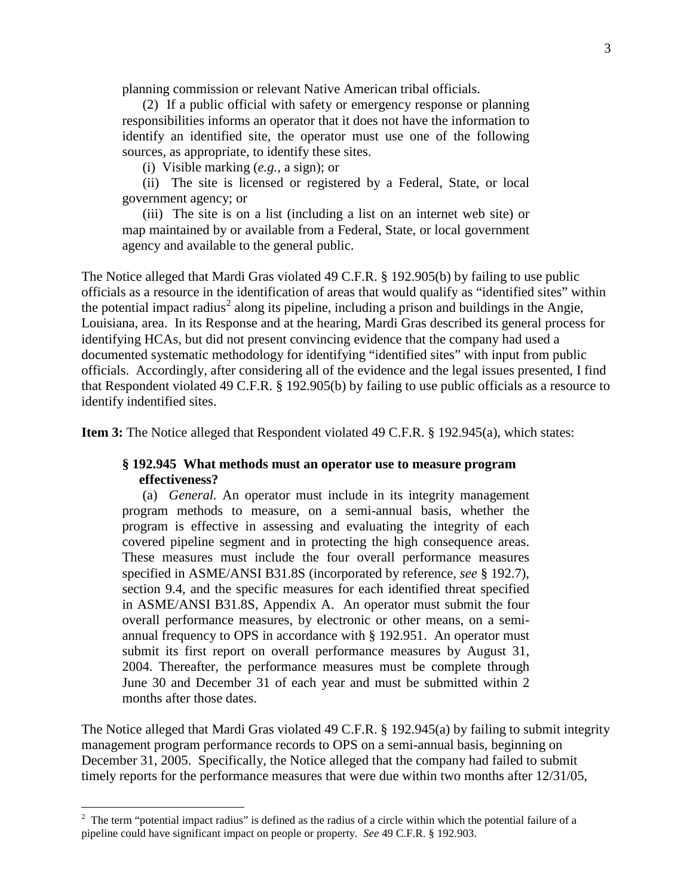planning commission or relevant Native American tribal officials.

(2) If a public official with safety or emergency response or planning responsibilities informs an operator that it does not have the information to identify an identified site, the operator must use one of the following sources, as appropriate, to identify these sites.

(i) Visible marking (*e.g.,* a sign); or

(ii) The site is licensed or registered by a Federal, State, or local government agency; or

(iii) The site is on a list (including a list on an internet web site) or map maintained by or available from a Federal, State, or local government agency and available to the general public.

The Notice alleged that Mardi Gras violated 49 C.F.R. § 192.905(b) by failing to use public officials as a resource in the identification of areas that would qualify as "identified sites" within the potential impact radius<sup>[2](#page-3-0)</sup> along its pipeline, including a prison and buildings in the Angie, Louisiana, area. In its Response and at the hearing, Mardi Gras described its general process for identifying HCAs, but did not present convincing evidence that the company had used a documented systematic methodology for identifying "identified sites" with input from public officials. Accordingly, after considering all of the evidence and the legal issues presented, I find that Respondent violated 49 C.F.R. § 192.905(b) by failing to use public officials as a resource to identify indentified sites.

**Item 3:** The Notice alleged that Respondent violated 49 C.F.R. § 192.945(a), which states:

## **§ 192.945 What methods must an operator use to measure program effectiveness?**

(a) *General.* An operator must include in its integrity management program methods to measure, on a semi-annual basis, whether the program is effective in assessing and evaluating the integrity of each covered pipeline segment and in protecting the high consequence areas. These measures must include the four overall performance measures specified in ASME/ANSI B31.8S (incorporated by reference, *see* § 192.7), section 9.4, and the specific measures for each identified threat specified in ASME/ANSI B31.8S, Appendix A. An operator must submit the four overall performance measures, by electronic or other means, on a semiannual frequency to OPS in accordance with § 192.951. An operator must submit its first report on overall performance measures by August 31, 2004. Thereafter, the performance measures must be complete through June 30 and December 31 of each year and must be submitted within 2 months after those dates.

The Notice alleged that Mardi Gras violated 49 C.F.R. § 192.945(a) by failing to submit integrity management program performance records to OPS on a semi-annual basis, beginning on December 31, 2005. Specifically, the Notice alleged that the company had failed to submit timely reports for the performance measures that were due within two months after 12/31/05,

<span id="page-3-0"></span> $\frac{1}{2}$  $2$  The term "potential impact radius" is defined as the radius of a circle within which the potential failure of a pipeline could have significant impact on people or property. *See* 49 C.F.R. § 192.903.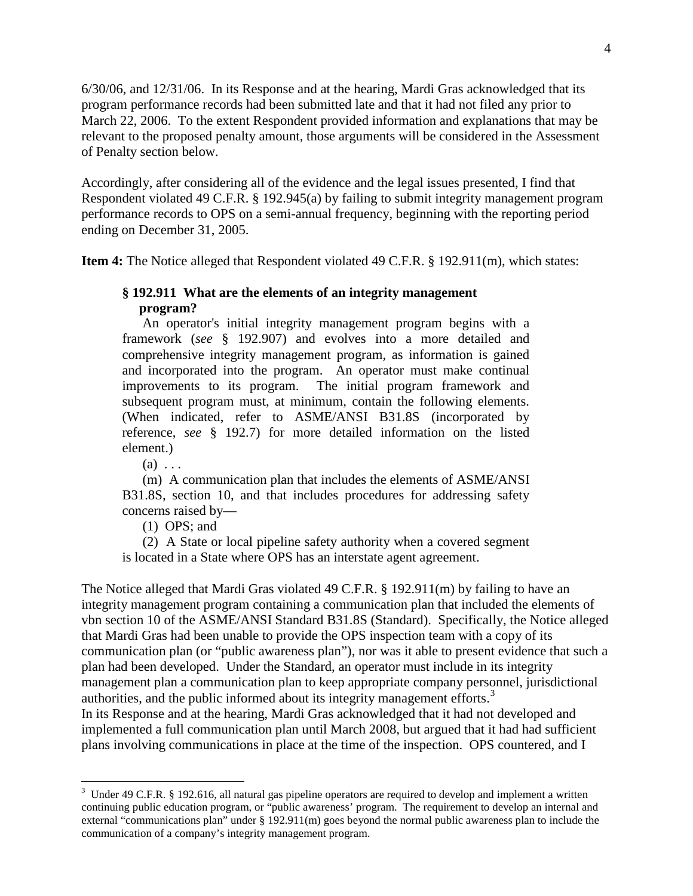6/30/06, and 12/31/06. In its Response and at the hearing, Mardi Gras acknowledged that its program performance records had been submitted late and that it had not filed any prior to March 22, 2006. To the extent Respondent provided information and explanations that may be relevant to the proposed penalty amount, those arguments will be considered in the Assessment of Penalty section below.

Accordingly, after considering all of the evidence and the legal issues presented, I find that Respondent violated 49 C.F.R. § 192.945(a) by failing to submit integrity management program performance records to OPS on a semi-annual frequency, beginning with the reporting period ending on December 31, 2005.

**Item 4:** The Notice alleged that Respondent violated 49 C.F.R. § 192.911(m), which states:

## **§ 192.911 What are the elements of an integrity management program?**

An operator's initial integrity management program begins with a framework (*see* § 192.907) and evolves into a more detailed and comprehensive integrity management program, as information is gained and incorporated into the program. An operator must make continual improvements to its program. The initial program framework and subsequent program must, at minimum, contain the following elements. (When indicated, refer to ASME/ANSI B31.8S (incorporated by reference, *see* § 192.7) for more detailed information on the listed element.)

 $(a) \ldots$ 

(m) A communication plan that includes the elements of ASME/ANSI B31.8S, section 10, and that includes procedures for addressing safety concerns raised by—

(1) OPS; and

(2) A State or local pipeline safety authority when a covered segment is located in a State where OPS has an interstate agent agreement.

The Notice alleged that Mardi Gras violated 49 C.F.R. § 192.911(m) by failing to have an integrity management program containing a communication plan that included the elements of vbn section 10 of the ASME/ANSI Standard B31.8S (Standard). Specifically, the Notice alleged that Mardi Gras had been unable to provide the OPS inspection team with a copy of its communication plan (or "public awareness plan"), nor was it able to present evidence that such a plan had been developed. Under the Standard, an operator must include in its integrity management plan a communication plan to keep appropriate company personnel, jurisdictional authorities, and the public informed about its integrity management efforts.<sup>[3](#page-4-0)</sup> In its Response and at the hearing, Mardi Gras acknowledged that it had not developed and implemented a full communication plan until March 2008, but argued that it had had sufficient plans involving communications in place at the time of the inspection. OPS countered, and I

<span id="page-4-0"></span><sup>&</sup>lt;sup>2</sup><br>3 <sup>3</sup> Under 49 C.F.R. § 192.616, all natural gas pipeline operators are required to develop and implement a written continuing public education program, or "public awareness' program. The requirement to develop an internal and external "communications plan" under § 192.911(m) goes beyond the normal public awareness plan to include the communication of a company's integrity management program.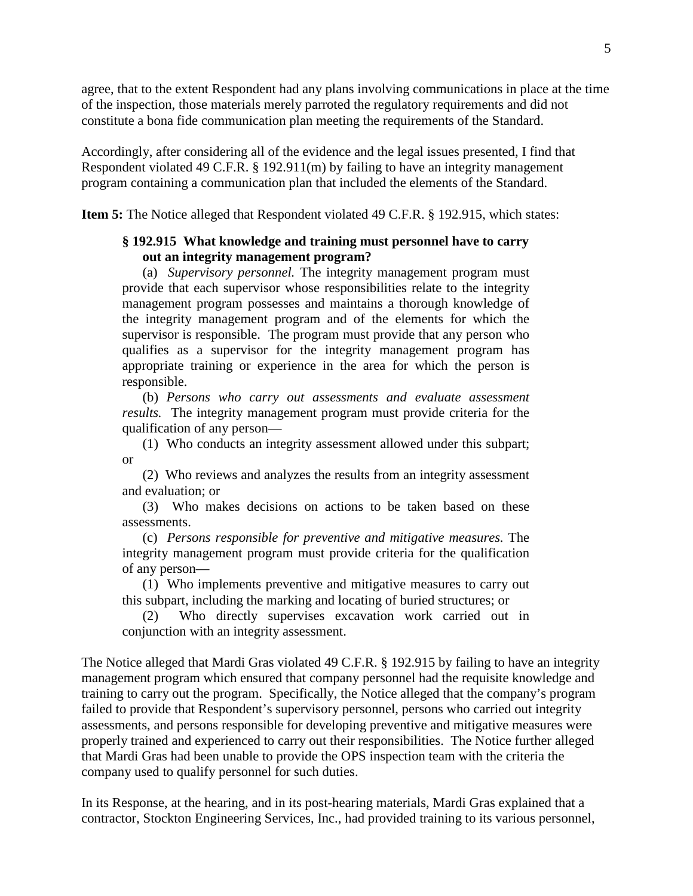agree, that to the extent Respondent had any plans involving communications in place at the time of the inspection, those materials merely parroted the regulatory requirements and did not constitute a bona fide communication plan meeting the requirements of the Standard.

Accordingly, after considering all of the evidence and the legal issues presented, I find that Respondent violated 49 C.F.R. § 192.911(m) by failing to have an integrity management program containing a communication plan that included the elements of the Standard.

**Item 5:** The Notice alleged that Respondent violated 49 C.F.R. § 192.915, which states:

## **§ 192.915 What knowledge and training must personnel have to carry out an integrity management program?**

(a) *Supervisory personnel.* The integrity management program must provide that each supervisor whose responsibilities relate to the integrity management program possesses and maintains a thorough knowledge of the integrity management program and of the elements for which the supervisor is responsible. The program must provide that any person who qualifies as a supervisor for the integrity management program has appropriate training or experience in the area for which the person is responsible.

(b) *Persons who carry out assessments and evaluate assessment results.* The integrity management program must provide criteria for the qualification of any person—

(1) Who conducts an integrity assessment allowed under this subpart; or

(2) Who reviews and analyzes the results from an integrity assessment and evaluation; or

(3) Who makes decisions on actions to be taken based on these assessments.

(c) *Persons responsible for preventive and mitigative measures.* The integrity management program must provide criteria for the qualification of any person—

(1) Who implements preventive and mitigative measures to carry out this subpart, including the marking and locating of buried structures; or

(2) Who directly supervises excavation work carried out in conjunction with an integrity assessment.

The Notice alleged that Mardi Gras violated 49 C.F.R. § 192.915 by failing to have an integrity management program which ensured that company personnel had the requisite knowledge and training to carry out the program. Specifically, the Notice alleged that the company's program failed to provide that Respondent's supervisory personnel, persons who carried out integrity assessments, and persons responsible for developing preventive and mitigative measures were properly trained and experienced to carry out their responsibilities. The Notice further alleged that Mardi Gras had been unable to provide the OPS inspection team with the criteria the company used to qualify personnel for such duties.

In its Response, at the hearing, and in its post-hearing materials, Mardi Gras explained that a contractor, Stockton Engineering Services, Inc., had provided training to its various personnel,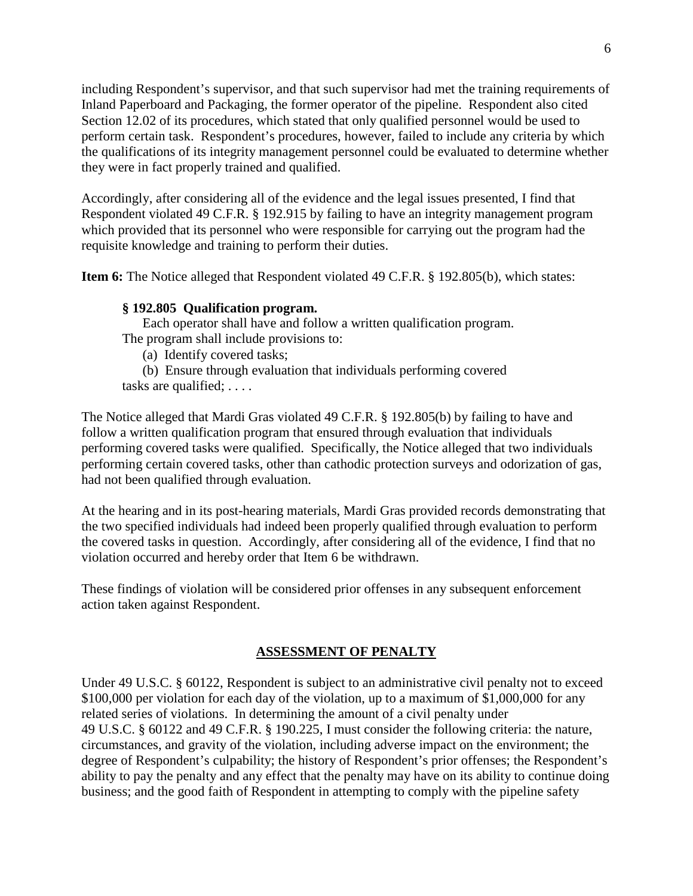including Respondent's supervisor, and that such supervisor had met the training requirements of Inland Paperboard and Packaging, the former operator of the pipeline. Respondent also cited Section 12.02 of its procedures, which stated that only qualified personnel would be used to perform certain task. Respondent's procedures, however, failed to include any criteria by which the qualifications of its integrity management personnel could be evaluated to determine whether they were in fact properly trained and qualified.

Accordingly, after considering all of the evidence and the legal issues presented, I find that Respondent violated 49 C.F.R. § 192.915 by failing to have an integrity management program which provided that its personnel who were responsible for carrying out the program had the requisite knowledge and training to perform their duties.

**Item 6:** The Notice alleged that Respondent violated 49 C.F.R. § 192.805(b), which states:

## **§ 192.805 Qualification program.**

Each operator shall have and follow a written qualification program. The program shall include provisions to:

(a) Identify covered tasks;

(b) Ensure through evaluation that individuals performing covered tasks are qualified; . . . .

The Notice alleged that Mardi Gras violated 49 C.F.R. § 192.805(b) by failing to have and follow a written qualification program that ensured through evaluation that individuals performing covered tasks were qualified. Specifically, the Notice alleged that two individuals performing certain covered tasks, other than cathodic protection surveys and odorization of gas, had not been qualified through evaluation.

At the hearing and in its post-hearing materials, Mardi Gras provided records demonstrating that the two specified individuals had indeed been properly qualified through evaluation to perform the covered tasks in question. Accordingly, after considering all of the evidence, I find that no violation occurred and hereby order that Item 6 be withdrawn.

These findings of violation will be considered prior offenses in any subsequent enforcement action taken against Respondent.

## **ASSESSMENT OF PENALTY**

Under 49 U.S.C. § 60122, Respondent is subject to an administrative civil penalty not to exceed \$100,000 per violation for each day of the violation, up to a maximum of \$1,000,000 for any related series of violations. In determining the amount of a civil penalty under 49 U.S.C. § 60122 and 49 C.F.R. § 190.225, I must consider the following criteria: the nature, circumstances, and gravity of the violation, including adverse impact on the environment; the degree of Respondent's culpability; the history of Respondent's prior offenses; the Respondent's ability to pay the penalty and any effect that the penalty may have on its ability to continue doing business; and the good faith of Respondent in attempting to comply with the pipeline safety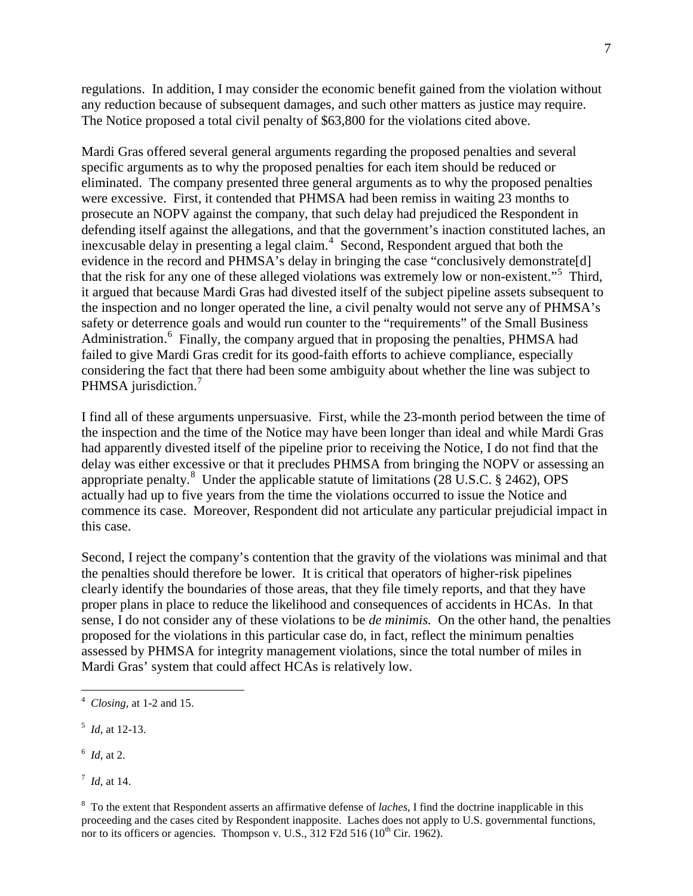regulations. In addition, I may consider the economic benefit gained from the violation without any reduction because of subsequent damages, and such other matters as justice may require. The Notice proposed a total civil penalty of \$63,800 for the violations cited above.

Mardi Gras offered several general arguments regarding the proposed penalties and several specific arguments as to why the proposed penalties for each item should be reduced or eliminated. The company presented three general arguments as to why the proposed penalties were excessive. First, it contended that PHMSA had been remiss in waiting 23 months to prosecute an NOPV against the company, that such delay had prejudiced the Respondent in defending itself against the allegations, and that the government's inaction constituted laches, an inexcusable delay in presenting a legal claim. [4](#page-7-0) Second, Respondent argued that both the evidence in the record and PHMSA's delay in bringing the case "conclusively demonstrate[d] that the risk for any one of these alleged violations was extremely low or non-existent."[5](#page-7-1) Third, it argued that because Mardi Gras had divested itself of the subject pipeline assets subsequent to the inspection and no longer operated the line, a civil penalty would not serve any of PHMSA's safety or deterrence goals and would run counter to the "requirements" of the Small Business Administration.<sup>[6](#page-7-2)</sup> Finally, the company argued that in proposing the penalties, PHMSA had failed to give Mardi Gras credit for its good-faith efforts to achieve compliance, especially considering the fact that there had been some ambiguity about whether the line was subject to PHMSA jurisdiction.<sup>[7](#page-7-3)</sup>

I find all of these arguments unpersuasive. First, while the 23-month period between the time of the inspection and the time of the Notice may have been longer than ideal and while Mardi Gras had apparently divested itself of the pipeline prior to receiving the Notice, I do not find that the delay was either excessive or that it precludes PHMSA from bringing the NOPV or assessing an appropriate penalty.<sup>[8](#page-7-4)</sup> Under the applicable statute of limitations (28 U.S.C. § 2462), OPS actually had up to five years from the time the violations occurred to issue the Notice and commence its case. Moreover, Respondent did not articulate any particular prejudicial impact in this case.

Second, I reject the company's contention that the gravity of the violations was minimal and that the penalties should therefore be lower. It is critical that operators of higher-risk pipelines clearly identify the boundaries of those areas, that they file timely reports, and that they have proper plans in place to reduce the likelihood and consequences of accidents in HCAs. In that sense, I do not consider any of these violations to be *de minimis.* On the other hand, the penalties proposed for the violations in this particular case do, in fact, reflect the minimum penalties assessed by PHMSA for integrity management violations, since the total number of miles in Mardi Gras' system that could affect HCAs is relatively low.

<span id="page-7-0"></span> $\frac{1}{4}$ *Closing,* at 1-2 and 15.

<span id="page-7-1"></span><sup>5</sup> *Id,* at 12-13.

<span id="page-7-2"></span><sup>6</sup> *Id,* at 2.

<span id="page-7-3"></span><sup>7</sup> *Id,* at 14.

<span id="page-7-4"></span><sup>8</sup> To the extent that Respondent asserts an affirmative defense of *laches,* I find the doctrine inapplicable in this proceeding and the cases cited by Respondent inapposite. Laches does not apply to U.S. governmental functions, nor to its officers or agencies. Thompson v. U.S.,  $312$  F2d  $516$  ( $10^{th}$  Cir. 1962).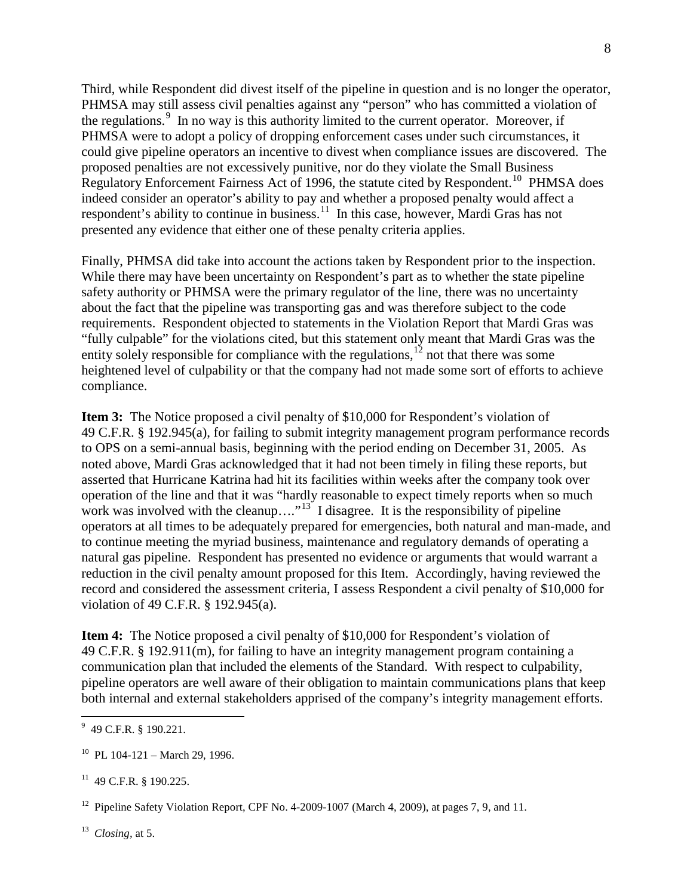Third, while Respondent did divest itself of the pipeline in question and is no longer the operator, PHMSA may still assess civil penalties against any "person" who has committed a violation of the regulations.<sup>[9](#page-8-0)</sup> In no way is this authority limited to the current operator. Moreover, if PHMSA were to adopt a policy of dropping enforcement cases under such circumstances, it could give pipeline operators an incentive to divest when compliance issues are discovered. The proposed penalties are not excessively punitive, nor do they violate the Small Business Regulatory Enforcement Fairness Act of 1996, the statute cited by Respondent.<sup>[10](#page-8-1)</sup> PHMSA does indeed consider an operator's ability to pay and whether a proposed penalty would affect a respondent's ability to continue in business.<sup>[11](#page-8-2)</sup> In this case, however, Mardi Gras has not presented any evidence that either one of these penalty criteria applies.

Finally, PHMSA did take into account the actions taken by Respondent prior to the inspection. While there may have been uncertainty on Respondent's part as to whether the state pipeline safety authority or PHMSA were the primary regulator of the line, there was no uncertainty about the fact that the pipeline was transporting gas and was therefore subject to the code requirements. Respondent objected to statements in the Violation Report that Mardi Gras was "fully culpable" for the violations cited, but this statement only meant that Mardi Gras was the entity solely responsible for compliance with the regulations,  $^{12}$  $^{12}$  $^{12}$  not that there was some heightened level of culpability or that the company had not made some sort of efforts to achieve compliance.

**Item 3:** The Notice proposed a civil penalty of \$10,000 for Respondent's violation of 49 C.F.R. § 192.945(a), for failing to submit integrity management program performance records to OPS on a semi-annual basis, beginning with the period ending on December 31, 2005. As noted above, Mardi Gras acknowledged that it had not been timely in filing these reports, but asserted that Hurricane Katrina had hit its facilities within weeks after the company took over operation of the line and that it was "hardly reasonable to expect timely reports when so much work was involved with the cleanup…."<sup>13'</sup> I disagree. It is the responsibility of pipeline operators at all times to be adequately prepared for emergencies, both natural and man-made, and to continue meeting the myriad business, maintenance and regulatory demands of operating a natural gas pipeline. Respondent has presented no evidence or arguments that would warrant a reduction in the civil penalty amount proposed for this Item. Accordingly, having reviewed the record and considered the assessment criteria, I assess Respondent a civil penalty of \$10,000 for violation of 49 C.F.R. § 192.945(a).

**Item 4:** The Notice proposed a civil penalty of \$10,000 for Respondent's violation of 49 C.F.R. § 192.911(m), for failing to have an integrity management program containing a communication plan that included the elements of the Standard. With respect to culpability, pipeline operators are well aware of their obligation to maintain communications plans that keep both internal and external stakeholders apprised of the company's integrity management efforts.

<span id="page-8-4"></span>13 *Closing,* at 5.

<span id="page-8-0"></span><sup>-&</sup>lt;br>9 <sup>9</sup> 49 C.F.R. § 190.221.

<span id="page-8-1"></span><sup>&</sup>lt;sup>10</sup> PL 104-121 – March 29, 1996.

<span id="page-8-2"></span> $11$  49 C.F.R. § 190.225.

<span id="page-8-3"></span><sup>&</sup>lt;sup>12</sup> Pipeline Safety Violation Report, CPF No. 4-2009-1007 (March 4, 2009), at pages 7, 9, and 11.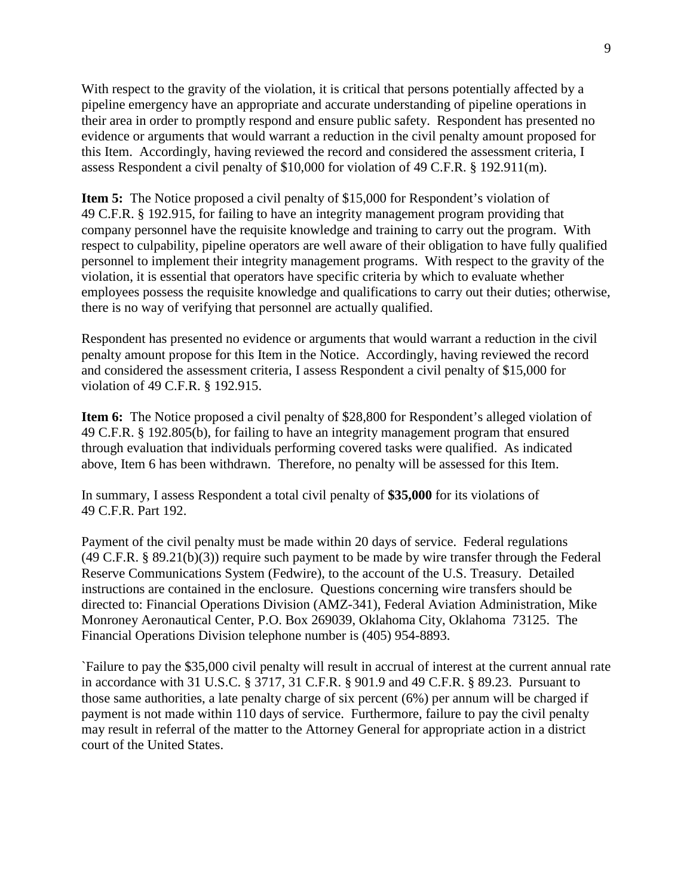With respect to the gravity of the violation, it is critical that persons potentially affected by a pipeline emergency have an appropriate and accurate understanding of pipeline operations in their area in order to promptly respond and ensure public safety. Respondent has presented no evidence or arguments that would warrant a reduction in the civil penalty amount proposed for this Item. Accordingly, having reviewed the record and considered the assessment criteria, I assess Respondent a civil penalty of \$10,000 for violation of 49 C.F.R. § 192.911(m).

**Item 5:** The Notice proposed a civil penalty of \$15,000 for Respondent's violation of 49 C.F.R. § 192.915, for failing to have an integrity management program providing that company personnel have the requisite knowledge and training to carry out the program. With respect to culpability, pipeline operators are well aware of their obligation to have fully qualified personnel to implement their integrity management programs. With respect to the gravity of the violation, it is essential that operators have specific criteria by which to evaluate whether employees possess the requisite knowledge and qualifications to carry out their duties; otherwise, there is no way of verifying that personnel are actually qualified.

Respondent has presented no evidence or arguments that would warrant a reduction in the civil penalty amount propose for this Item in the Notice. Accordingly, having reviewed the record and considered the assessment criteria, I assess Respondent a civil penalty of \$15,000 for violation of 49 C.F.R. § 192.915.

**Item 6:** The Notice proposed a civil penalty of \$28,800 for Respondent's alleged violation of 49 C.F.R. § 192.805(b), for failing to have an integrity management program that ensured through evaluation that individuals performing covered tasks were qualified. As indicated above, Item 6 has been withdrawn. Therefore, no penalty will be assessed for this Item.

In summary, I assess Respondent a total civil penalty of **\$35,000** for its violations of 49 C.F.R. Part 192.

Payment of the civil penalty must be made within 20 days of service. Federal regulations (49 C.F.R. § 89.21(b)(3)) require such payment to be made by wire transfer through the Federal Reserve Communications System (Fedwire), to the account of the U.S. Treasury. Detailed instructions are contained in the enclosure. Questions concerning wire transfers should be directed to: Financial Operations Division (AMZ-341), Federal Aviation Administration, Mike Monroney Aeronautical Center, P.O. Box 269039, Oklahoma City, Oklahoma 73125. The Financial Operations Division telephone number is (405) 954-8893.

`Failure to pay the \$35,000 civil penalty will result in accrual of interest at the current annual rate in accordance with 31 U.S.C. § 3717, 31 C.F.R. § 901.9 and 49 C.F.R. § 89.23. Pursuant to those same authorities, a late penalty charge of six percent (6%) per annum will be charged if payment is not made within 110 days of service. Furthermore, failure to pay the civil penalty may result in referral of the matter to the Attorney General for appropriate action in a district court of the United States.